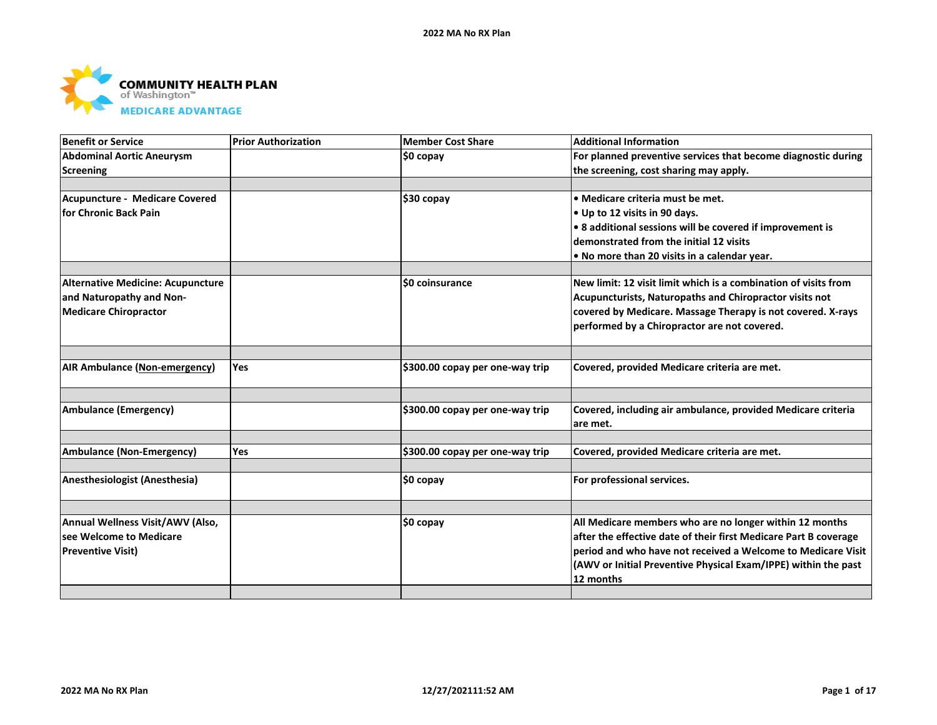

| <b>Benefit or Service</b>                | <b>Prior Authorization</b> | <b>Member Cost Share</b>        | <b>Additional Information</b>                                            |
|------------------------------------------|----------------------------|---------------------------------|--------------------------------------------------------------------------|
| <b>Abdominal Aortic Aneurysm</b>         |                            | <b>SO copav</b>                 | For planned preventive services that become diagnostic during            |
| <b>Screening</b>                         |                            |                                 | the screening, cost sharing may apply.                                   |
|                                          |                            |                                 |                                                                          |
| <b>Acupuncture - Medicare Covered</b>    |                            | $$30$ copay                     | • Medicare criteria must be met.                                         |
| for Chronic Back Pain                    |                            |                                 | • Up to 12 visits in 90 days.                                            |
|                                          |                            |                                 | . 8 additional sessions will be covered if improvement is                |
|                                          |                            |                                 | demonstrated from the initial 12 visits                                  |
|                                          |                            |                                 | • No more than 20 visits in a calendar year.                             |
|                                          |                            |                                 |                                                                          |
| <b>Alternative Medicine: Acupuncture</b> |                            | \$0 coinsurance                 | New limit: 12 visit limit which is a combination of visits from          |
| and Naturopathy and Non-                 |                            |                                 | Acupuncturists, Naturopaths and Chiropractor visits not                  |
| <b>Medicare Chiropractor</b>             |                            |                                 | covered by Medicare. Massage Therapy is not covered. X-rays              |
|                                          |                            |                                 | performed by a Chiropractor are not covered.                             |
|                                          |                            |                                 |                                                                          |
| AIR Ambulance (Non-emergency)            | <b>Yes</b>                 | \$300.00 copay per one-way trip | Covered, provided Medicare criteria are met.                             |
|                                          |                            |                                 |                                                                          |
| <b>Ambulance (Emergency)</b>             |                            | \$300.00 copay per one-way trip | Covered, including air ambulance, provided Medicare criteria<br>are met. |
|                                          |                            |                                 |                                                                          |
| <b>Ambulance (Non-Emergency)</b>         | Yes                        | \$300.00 copay per one-way trip | Covered, provided Medicare criteria are met.                             |
| Anesthesiologist (Anesthesia)            |                            | \$0 copay                       | For professional services.                                               |
|                                          |                            |                                 |                                                                          |
| Annual Wellness Visit/AWV (Also,         |                            | \$0 copay                       | All Medicare members who are no longer within 12 months                  |
| see Welcome to Medicare                  |                            |                                 | after the effective date of their first Medicare Part B coverage         |
| <b>Preventive Visit)</b>                 |                            |                                 | period and who have not received a Welcome to Medicare Visit             |
|                                          |                            |                                 | (AWV or Initial Preventive Physical Exam/IPPE) within the past           |
|                                          |                            |                                 | 12 months                                                                |
|                                          |                            |                                 |                                                                          |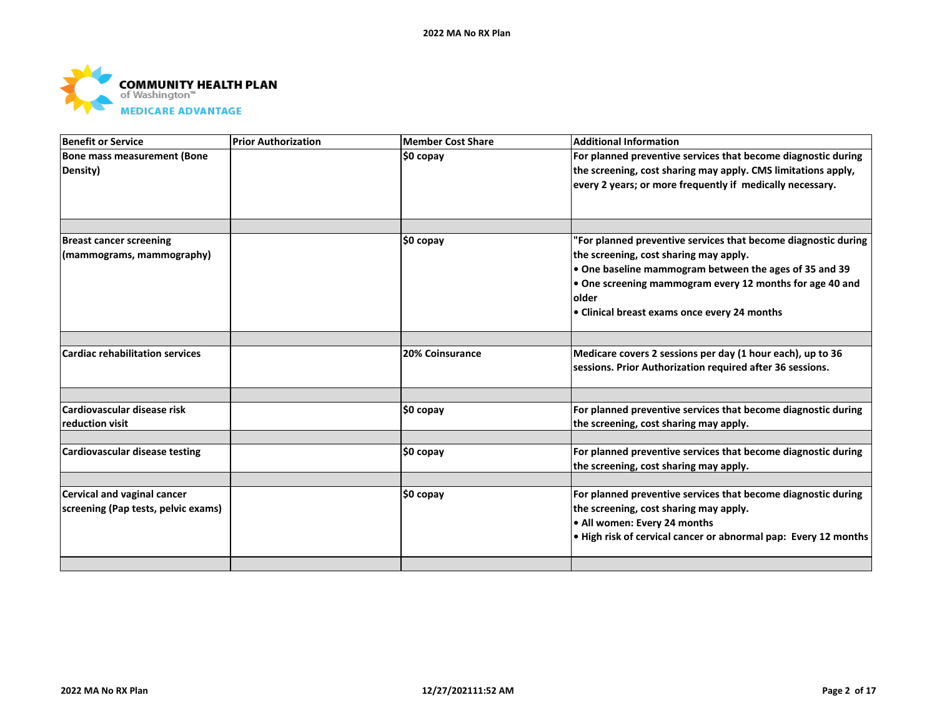

| Benefit or Service                     | <b>Prior Authorization</b> | <b>Member Cost Share</b> | <b>Additional Information</b>                                   |
|----------------------------------------|----------------------------|--------------------------|-----------------------------------------------------------------|
| Bone mass measurement (Bone            |                            | \$0 copay                | For planned preventive services that become diagnostic during   |
| Density)                               |                            |                          | the screening, cost sharing may apply. CMS limitations apply,   |
|                                        |                            |                          | every 2 years; or more frequently if medically necessary.       |
|                                        |                            |                          |                                                                 |
|                                        |                            |                          |                                                                 |
| <b>Breast cancer screening</b>         |                            | \$0 copay                | 'For planned preventive services that become diagnostic during  |
| (mammograms, mammography)              |                            |                          | the screening, cost sharing may apply.                          |
|                                        |                            |                          | • One baseline mammogram between the ages of 35 and 39          |
|                                        |                            |                          | One screening mammogram every 12 months for age 40 and          |
|                                        |                            |                          | <b>lolder</b>                                                   |
|                                        |                            |                          | • Clinical breast exams once every 24 months                    |
|                                        |                            |                          |                                                                 |
| <b>Cardiac rehabilitation services</b> |                            | <b>20% Coinsurance</b>   | Medicare covers 2 sessions per day (1 hour each), up to 36      |
|                                        |                            |                          | sessions. Prior Authorization required after 36 sessions.       |
|                                        |                            |                          |                                                                 |
| Cardiovascular disease risk            |                            | \$0 copay                | For planned preventive services that become diagnostic during   |
| reduction visit                        |                            |                          | the screening, cost sharing may apply.                          |
| Cardiovascular disease testing         |                            | $$0$ copay               | For planned preventive services that become diagnostic during   |
|                                        |                            |                          | the screening, cost sharing may apply.                          |
|                                        |                            |                          |                                                                 |
| <b>Cervical and vaginal cancer</b>     |                            | \$0 copay                | For planned preventive services that become diagnostic during   |
| screening (Pap tests, pelvic exams)    |                            |                          | the screening, cost sharing may apply.                          |
|                                        |                            |                          | . All women: Every 24 months                                    |
|                                        |                            |                          | . High risk of cervical cancer or abnormal pap: Every 12 months |
|                                        |                            |                          |                                                                 |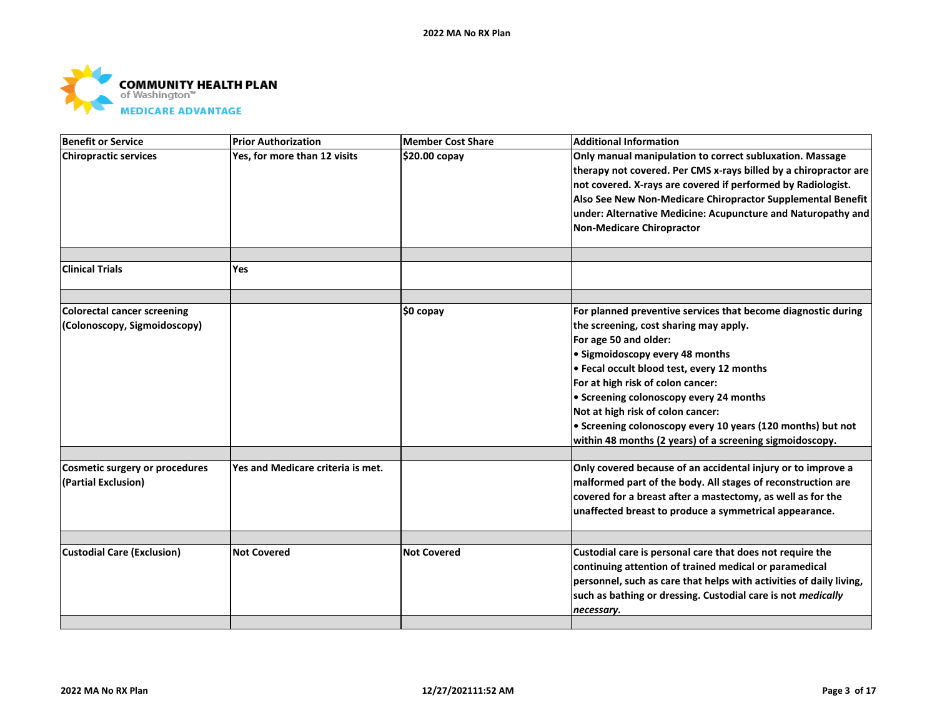

| <b>Benefit or Service</b>                                   | <b>Prior Authorization</b>        | Member Cost Share  | <b>Additional Information</b>                                                                                                                                                                                                                                                                                                                                                                                                                                     |
|-------------------------------------------------------------|-----------------------------------|--------------------|-------------------------------------------------------------------------------------------------------------------------------------------------------------------------------------------------------------------------------------------------------------------------------------------------------------------------------------------------------------------------------------------------------------------------------------------------------------------|
| <b>Chiropractic services</b>                                | Yes, for more than 12 visits      | \$20.00 copay      | Only manual manipulation to correct subluxation. Massage<br>therapy not covered. Per CMS x-rays billed by a chiropractor are<br>not covered. X-rays are covered if performed by Radiologist.<br>Also See New Non-Medicare Chiropractor Supplemental Benefit<br>under: Alternative Medicine: Acupuncture and Naturopathy and<br><b>Non-Medicare Chiropractor</b>                                                                                                   |
| <b>Clinical Trials</b>                                      | Yes                               |                    |                                                                                                                                                                                                                                                                                                                                                                                                                                                                   |
| Colorectal cancer screening<br>(Colonoscopy, Sigmoidoscopy) |                                   | \$0 copay          | For planned preventive services that become diagnostic during<br>the screening, cost sharing may apply.<br>For age 50 and older:<br>• Sigmoidoscopy every 48 months<br>• Fecal occult blood test, every 12 months<br>For at high risk of colon cancer:<br>• Screening colonoscopy every 24 months<br>Not at high risk of colon cancer:<br>• Screening colonoscopy every 10 years (120 months) but not<br>within 48 months (2 years) of a screening sigmoidoscopy. |
| Cosmetic surgery or procedures<br>(Partial Exclusion)       | Yes and Medicare criteria is met. |                    | Only covered because of an accidental injury or to improve a<br>malformed part of the body. All stages of reconstruction are<br>covered for a breast after a mastectomy, as well as for the<br>unaffected breast to produce a symmetrical appearance.                                                                                                                                                                                                             |
| <b>Custodial Care (Exclusion)</b>                           | <b>Not Covered</b>                | <b>Not Covered</b> | Custodial care is personal care that does not require the<br>continuing attention of trained medical or paramedical<br>personnel, such as care that helps with activities of daily living,<br>such as bathing or dressing. Custodial care is not medically<br>necessary.                                                                                                                                                                                          |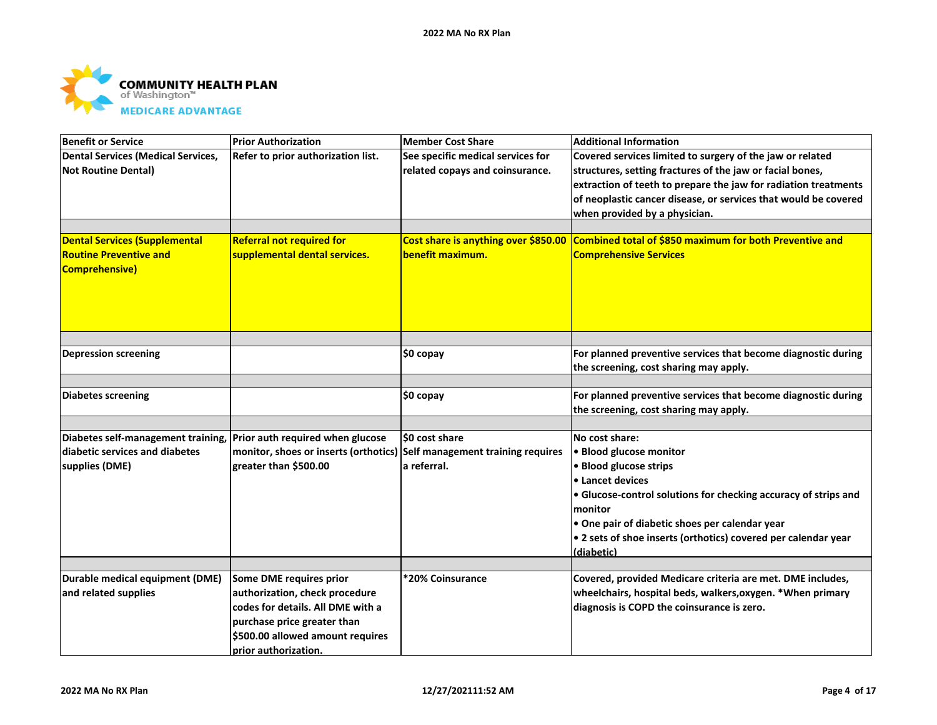

| <b>Benefit or Service</b>                                           | <b>Prior Authorization</b>                                              | Member Cost Share                    | <b>Additional Information</b>                                   |
|---------------------------------------------------------------------|-------------------------------------------------------------------------|--------------------------------------|-----------------------------------------------------------------|
| <b>Dental Services (Medical Services,</b>                           | Refer to prior authorization list.                                      | See specific medical services for    | Covered services limited to surgery of the jaw or related       |
| <b>Not Routine Dental)</b>                                          |                                                                         | related copays and coinsurance.      | structures, setting fractures of the jaw or facial bones,       |
|                                                                     |                                                                         |                                      | extraction of teeth to prepare the jaw for radiation treatments |
|                                                                     |                                                                         |                                      | of neoplastic cancer disease, or services that would be covered |
|                                                                     |                                                                         |                                      | when provided by a physician.                                   |
|                                                                     |                                                                         |                                      |                                                                 |
| <b>Dental Services (Supplemental</b>                                | <b>Referral not required for</b>                                        | Cost share is anything over \$850.00 | Combined total of \$850 maximum for both Preventive and         |
| <b>Routine Preventive and</b>                                       | supplemental dental services.                                           | benefit maximum.                     | <b>Comprehensive Services</b>                                   |
| <b>Comprehensive)</b>                                               |                                                                         |                                      |                                                                 |
|                                                                     |                                                                         |                                      |                                                                 |
|                                                                     |                                                                         |                                      |                                                                 |
|                                                                     |                                                                         |                                      |                                                                 |
|                                                                     |                                                                         |                                      |                                                                 |
|                                                                     |                                                                         |                                      |                                                                 |
| <b>Depression screening</b>                                         |                                                                         | \$0 copay                            | For planned preventive services that become diagnostic during   |
|                                                                     |                                                                         |                                      | the screening, cost sharing may apply.                          |
| <b>Diabetes screening</b>                                           |                                                                         | \$0 copay                            | For planned preventive services that become diagnostic during   |
|                                                                     |                                                                         |                                      | the screening, cost sharing may apply.                          |
|                                                                     |                                                                         |                                      |                                                                 |
| Diabetes self-management training, Prior auth required when glucose |                                                                         | SO cost share                        | No cost share:                                                  |
| diabetic services and diabetes                                      | monitor, shoes or inserts (orthotics) Self management training requires |                                      | • Blood glucose monitor                                         |
| supplies (DME)                                                      | greater than \$500.00                                                   | a referral.                          | · Blood glucose strips                                          |
|                                                                     |                                                                         |                                      | • Lancet devices                                                |
|                                                                     |                                                                         |                                      | • Glucose-control solutions for checking accuracy of strips and |
|                                                                     |                                                                         |                                      | monitor                                                         |
|                                                                     |                                                                         |                                      | • One pair of diabetic shoes per calendar year                  |
|                                                                     |                                                                         |                                      | • 2 sets of shoe inserts (orthotics) covered per calendar year  |
|                                                                     |                                                                         |                                      | (diabetic)                                                      |
|                                                                     |                                                                         |                                      |                                                                 |
| Durable medical equipment (DME)                                     | Some DME requires prior                                                 | *20% Coinsurance                     | Covered, provided Medicare criteria are met. DME includes,      |
| and related supplies                                                | authorization, check procedure                                          |                                      | wheelchairs, hospital beds, walkers, oxygen. * When primary     |
|                                                                     | codes for details. All DME with a                                       |                                      | diagnosis is COPD the coinsurance is zero.                      |
|                                                                     | purchase price greater than                                             |                                      |                                                                 |
|                                                                     | \$500.00 allowed amount requires                                        |                                      |                                                                 |
|                                                                     | prior authorization.                                                    |                                      |                                                                 |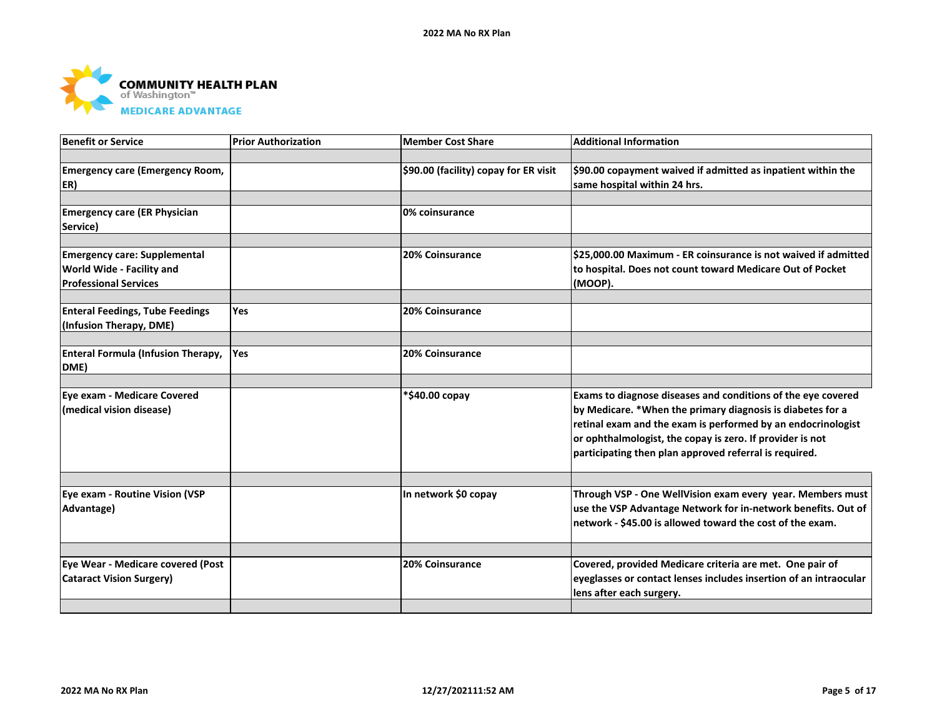

| <b>Benefit or Service</b>                 | <b>Prior Authorization</b> | Member Cost Share                     | <b>Additional Information</b>                                       |
|-------------------------------------------|----------------------------|---------------------------------------|---------------------------------------------------------------------|
|                                           |                            |                                       |                                                                     |
| <b>Emergency care (Emergency Room,</b>    |                            | \$90.00 (facility) copay for ER visit | $\mid$ \$90.00 copayment waived if admitted as inpatient within the |
| ER)                                       |                            |                                       | same hospital within 24 hrs.                                        |
|                                           |                            |                                       |                                                                     |
| <b>Emergency care (ER Physician</b>       |                            | 0% coinsurance                        |                                                                     |
| Service)                                  |                            |                                       |                                                                     |
|                                           |                            |                                       |                                                                     |
| <b>Emergency care: Supplemental</b>       |                            | 20% Coinsurance                       | \$25,000.00 Maximum - ER coinsurance is not waived if admitted      |
| World Wide - Facility and                 |                            |                                       | to hospital. Does not count toward Medicare Out of Pocket           |
| <b>Professional Services</b>              |                            |                                       | (MOOP).                                                             |
|                                           |                            |                                       |                                                                     |
| <b>Enteral Feedings, Tube Feedings</b>    | <b>Yes</b>                 | <b>20% Coinsurance</b>                |                                                                     |
| (Infusion Therapy, DME)                   |                            |                                       |                                                                     |
|                                           |                            |                                       |                                                                     |
| <b>Enteral Formula (Infusion Therapy,</b> | Yes                        | <b>20% Coinsurance</b>                |                                                                     |
| DME)                                      |                            |                                       |                                                                     |
|                                           |                            |                                       |                                                                     |
| Eye exam - Medicare Covered               |                            | *\$40.00 copay                        | Exams to diagnose diseases and conditions of the eye covered        |
| (medical vision disease)                  |                            |                                       | by Medicare. *When the primary diagnosis is diabetes for a          |
|                                           |                            |                                       | retinal exam and the exam is performed by an endocrinologist        |
|                                           |                            |                                       | or ophthalmologist, the copay is zero. If provider is not           |
|                                           |                            |                                       | participating then plan approved referral is required.              |
|                                           |                            |                                       |                                                                     |
| Eye exam - Routine Vision (VSP            |                            | In network \$0 copay                  | Through VSP - One WellVision exam every year. Members must          |
| Advantage)                                |                            |                                       | use the VSP Advantage Network for in-network benefits. Out of       |
|                                           |                            |                                       | network - \$45.00 is allowed toward the cost of the exam.           |
|                                           |                            |                                       |                                                                     |
| Eye Wear - Medicare covered (Post         |                            | <b>20% Coinsurance</b>                | Covered, provided Medicare criteria are met. One pair of            |
| <b>Cataract Vision Surgery)</b>           |                            |                                       | eyeglasses or contact lenses includes insertion of an intraocular   |
|                                           |                            |                                       | lens after each surgery.                                            |
|                                           |                            |                                       |                                                                     |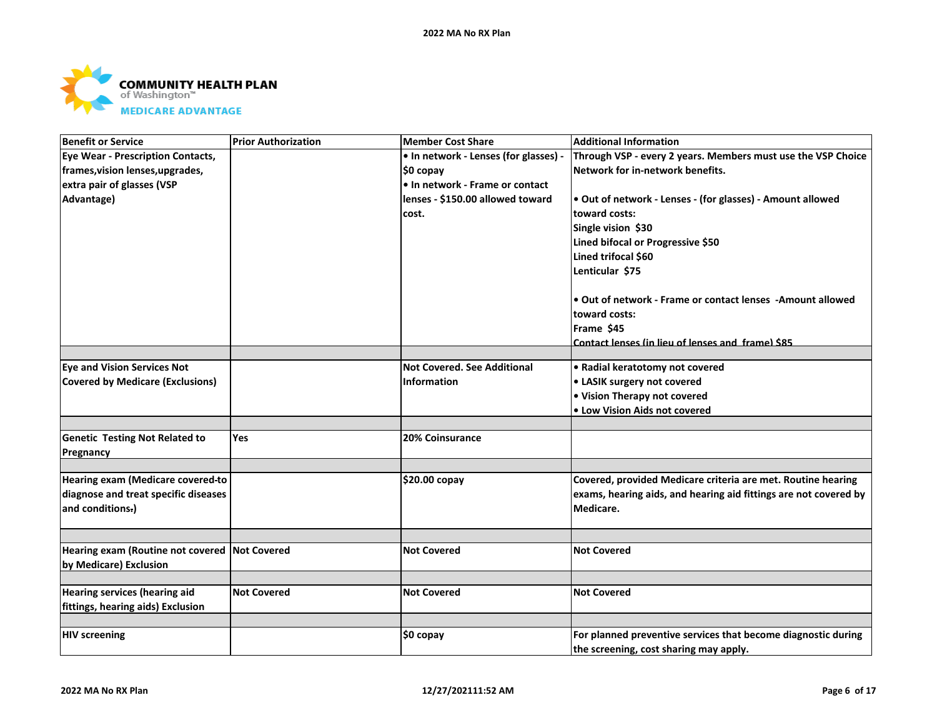

| <b>Benefit or Service</b>                                               | <b>Prior Authorization</b> | <b>Member Cost Share</b>              | <b>Additional Information</b>                                    |
|-------------------------------------------------------------------------|----------------------------|---------------------------------------|------------------------------------------------------------------|
| <b>Eye Wear - Prescription Contacts,</b>                                |                            | • In network - Lenses (for glasses) - | Through VSP - every 2 years. Members must use the VSP Choice     |
| frames, vision lenses, upgrades,                                        |                            | \$0 copay                             | Network for in-network benefits.                                 |
| extra pair of glasses (VSP                                              |                            | • In network - Frame or contact       |                                                                  |
| Advantage)                                                              |                            | lenses - \$150.00 allowed toward      | . Out of network - Lenses - (for glasses) - Amount allowed       |
|                                                                         |                            | cost.                                 | toward costs:                                                    |
|                                                                         |                            |                                       | Single vision \$30                                               |
|                                                                         |                            |                                       | Lined bifocal or Progressive \$50                                |
|                                                                         |                            |                                       | Lined trifocal \$60                                              |
|                                                                         |                            |                                       | Lenticular \$75                                                  |
|                                                                         |                            |                                       | • Out of network - Frame or contact lenses - Amount allowed      |
|                                                                         |                            |                                       | toward costs:                                                    |
|                                                                         |                            |                                       | Frame \$45                                                       |
|                                                                         |                            |                                       | Contact lenses (in lieu of lenses and frame) \$85                |
|                                                                         |                            |                                       |                                                                  |
| <b>Eye and Vision Services Not</b>                                      |                            | <b>Not Covered. See Additional</b>    | • Radial keratotomy not covered                                  |
| <b>Covered by Medicare (Exclusions)</b>                                 |                            | <b>Information</b>                    | • LASIK surgery not covered                                      |
|                                                                         |                            |                                       | • Vision Therapy not covered                                     |
|                                                                         |                            |                                       | • Low Vision Aids not covered                                    |
| <b>Genetic Testing Not Related to</b>                                   | Yes                        | <b>20% Coinsurance</b>                |                                                                  |
| Pregnancy                                                               |                            |                                       |                                                                  |
|                                                                         |                            |                                       |                                                                  |
| Hearing exam (Medicare covered-to                                       |                            | \$20.00 copay                         | Covered, provided Medicare criteria are met. Routine hearing     |
| diagnose and treat specific diseases                                    |                            |                                       | exams, hearing aids, and hearing aid fittings are not covered by |
| and conditions-)                                                        |                            |                                       | Medicare.                                                        |
|                                                                         |                            |                                       |                                                                  |
| Hearing exam (Routine not covered Not Covered<br>by Medicare) Exclusion |                            | <b>Not Covered</b>                    | <b>Not Covered</b>                                               |
|                                                                         |                            |                                       |                                                                  |
| <b>Hearing services (hearing aid</b>                                    | <b>Not Covered</b>         | <b>Not Covered</b>                    | <b>Not Covered</b>                                               |
| fittings, hearing aids) Exclusion                                       |                            |                                       |                                                                  |
|                                                                         |                            |                                       |                                                                  |
| <b>HIV screening</b>                                                    |                            | \$0 copay                             | For planned preventive services that become diagnostic during    |
|                                                                         |                            |                                       | the screening, cost sharing may apply.                           |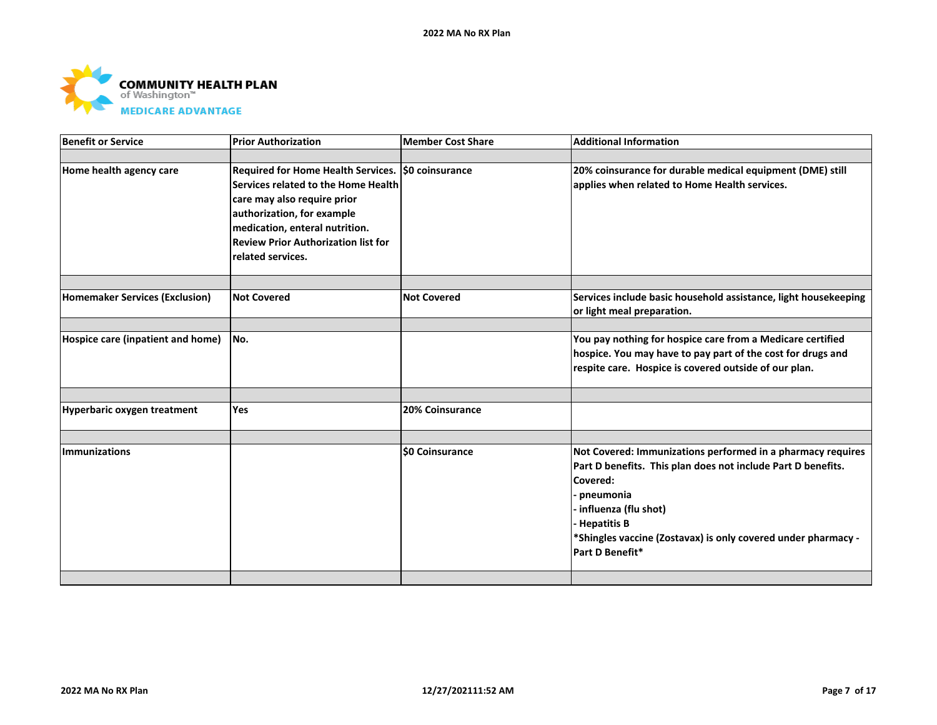

| <b>Benefit or Service</b>             | <b>Prior Authorization</b>                                                                                                                                                                                                                                  | <b>Member Cost Share</b> | <b>Additional Information</b>                                                                                                                                                                                                                                                          |
|---------------------------------------|-------------------------------------------------------------------------------------------------------------------------------------------------------------------------------------------------------------------------------------------------------------|--------------------------|----------------------------------------------------------------------------------------------------------------------------------------------------------------------------------------------------------------------------------------------------------------------------------------|
|                                       |                                                                                                                                                                                                                                                             |                          |                                                                                                                                                                                                                                                                                        |
| Home health agency care               | Required for Home Health Services. \$0 coinsurance<br>Services related to the Home Health<br>care may also require prior<br>authorization, for example<br>medication, enteral nutrition.<br><b>Review Prior Authorization list for</b><br>related services. |                          | 20% coinsurance for durable medical equipment (DME) still<br>applies when related to Home Health services.                                                                                                                                                                             |
|                                       |                                                                                                                                                                                                                                                             |                          |                                                                                                                                                                                                                                                                                        |
| <b>Homemaker Services (Exclusion)</b> | <b>Not Covered</b>                                                                                                                                                                                                                                          | <b>Not Covered</b>       | Services include basic household assistance, light housekeeping<br>or light meal preparation.                                                                                                                                                                                          |
|                                       |                                                                                                                                                                                                                                                             |                          |                                                                                                                                                                                                                                                                                        |
| Hospice care (inpatient and home)     | No.                                                                                                                                                                                                                                                         |                          | You pay nothing for hospice care from a Medicare certified<br>hospice. You may have to pay part of the cost for drugs and<br>respite care. Hospice is covered outside of our plan.                                                                                                     |
|                                       |                                                                                                                                                                                                                                                             |                          |                                                                                                                                                                                                                                                                                        |
| <b>Hyperbaric oxygen treatment</b>    | Yes                                                                                                                                                                                                                                                         | 20% Coinsurance          |                                                                                                                                                                                                                                                                                        |
|                                       |                                                                                                                                                                                                                                                             |                          |                                                                                                                                                                                                                                                                                        |
| <b>Immunizations</b>                  |                                                                                                                                                                                                                                                             | <b>\$0 Coinsurance</b>   | Not Covered: Immunizations performed in a pharmacy requires<br>Part D benefits. This plan does not include Part D benefits.<br>Covered:<br>pneumonia<br>influenza (flu shot)<br><b>Hepatitis B</b><br>*Shingles vaccine (Zostavax) is only covered under pharmacy -<br>Part D Benefit* |
|                                       |                                                                                                                                                                                                                                                             |                          |                                                                                                                                                                                                                                                                                        |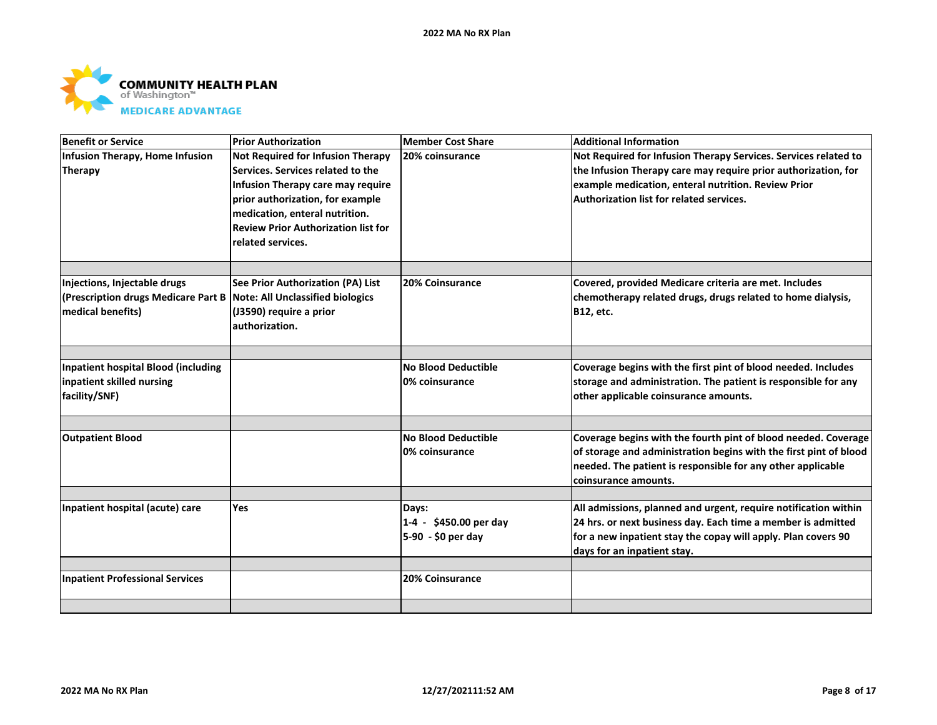

| Benefit or Service                                                                                                          | <b>Prior Authorization</b>                                                                                                                                                                                                                           | Member Cost Share                                     | <b>Additional Information</b>                                                                                                                                                                                                        |
|-----------------------------------------------------------------------------------------------------------------------------|------------------------------------------------------------------------------------------------------------------------------------------------------------------------------------------------------------------------------------------------------|-------------------------------------------------------|--------------------------------------------------------------------------------------------------------------------------------------------------------------------------------------------------------------------------------------|
| Infusion Therapy, Home Infusion<br>Therapy                                                                                  | Not Required for Infusion Therapy<br>Services. Services related to the<br>Infusion Therapy care may require<br>prior authorization, for example<br>medication, enteral nutrition.<br><b>Review Prior Authorization list for</b><br>related services. | 20% coinsurance                                       | Not Required for Infusion Therapy Services. Services related to<br>the Infusion Therapy care may require prior authorization, for<br>example medication, enteral nutrition. Review Prior<br>Authorization list for related services. |
|                                                                                                                             |                                                                                                                                                                                                                                                      |                                                       |                                                                                                                                                                                                                                      |
| Injections, Injectable drugs<br>(Prescription drugs Medicare Part B   Note: All Unclassified biologics<br>medical benefits) | See Prior Authorization (PA) List<br>(J3590) require a prior<br>lauthorization.                                                                                                                                                                      | 20% Coinsurance                                       | Covered, provided Medicare criteria are met. Includes<br>chemotherapy related drugs, drugs related to home dialysis,<br><b>B12, etc.</b>                                                                                             |
| Inpatient hospital Blood (including<br>inpatient skilled nursing<br>facility/SNF)                                           |                                                                                                                                                                                                                                                      | <b>No Blood Deductible</b><br>0% coinsurance          | Coverage begins with the first pint of blood needed. Includes<br>storage and administration. The patient is responsible for any<br>other applicable coinsurance amounts.                                                             |
| <b>Outpatient Blood</b>                                                                                                     |                                                                                                                                                                                                                                                      | <b>No Blood Deductible</b><br>0% coinsurance          | Coverage begins with the fourth pint of blood needed. Coverage<br>of storage and administration begins with the first pint of blood<br>needed. The patient is responsible for any other applicable<br>coinsurance amounts.           |
| Inpatient hospital (acute) care                                                                                             | <b>Yes</b>                                                                                                                                                                                                                                           | Days:<br>1-4 - \$450.00 per day<br>5-90 - \$0 per day | All admissions, planned and urgent, require notification within<br>24 hrs. or next business day. Each time a member is admitted<br>for a new inpatient stay the copay will apply. Plan covers 90<br>days for an inpatient stay.      |
| <b>Inpatient Professional Services</b>                                                                                      |                                                                                                                                                                                                                                                      | 20% Coinsurance                                       |                                                                                                                                                                                                                                      |
|                                                                                                                             |                                                                                                                                                                                                                                                      |                                                       |                                                                                                                                                                                                                                      |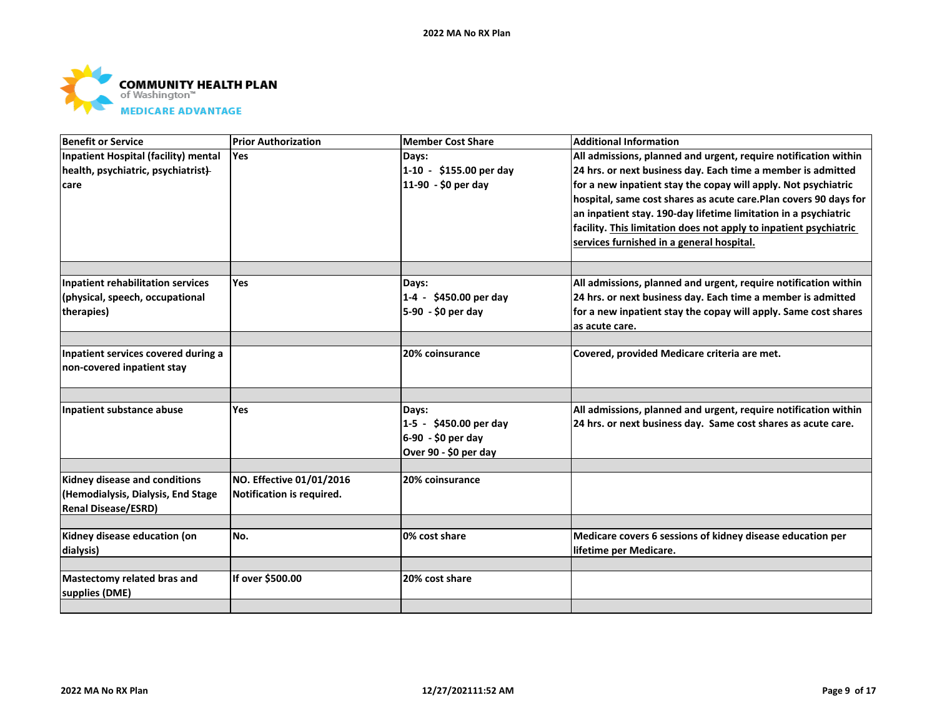

| <b>Benefit or Service</b>                     | <b>Prior Authorization</b> | <b>Member Cost Share</b> | <b>Additional Information</b>                                     |
|-----------------------------------------------|----------------------------|--------------------------|-------------------------------------------------------------------|
| Inpatient Hospital (facility) mental          | Yes                        | Days:                    | All admissions, planned and urgent, require notification within   |
| health, psychiatric, psychiatrist}-           |                            | 1-10 - \$155.00 per day  | 24 hrs. or next business day. Each time a member is admitted      |
| care                                          |                            | 11-90 - \$0 per day      | for a new inpatient stay the copay will apply. Not psychiatric    |
|                                               |                            |                          | hospital, same cost shares as acute care. Plan covers 90 days for |
|                                               |                            |                          | an inpatient stay. 190-day lifetime limitation in a psychiatric   |
|                                               |                            |                          | facility. This limitation does not apply to inpatient psychiatric |
|                                               |                            |                          | services furnished in a general hospital.                         |
|                                               |                            |                          |                                                                   |
| Inpatient rehabilitation services             | <b>Yes</b>                 | Days:                    | All admissions, planned and urgent, require notification within   |
| (physical, speech, occupational               |                            | 1-4 - \$450.00 per day   | 24 hrs. or next business day. Each time a member is admitted      |
| therapies)                                    |                            | 5-90 - \$0 per day       | for a new inpatient stay the copay will apply. Same cost shares   |
|                                               |                            |                          | as acute care.                                                    |
| Inpatient services covered during a           |                            | 20% coinsurance          | Covered, provided Medicare criteria are met.                      |
| non-covered inpatient stay                    |                            |                          |                                                                   |
|                                               |                            |                          |                                                                   |
| Inpatient substance abuse                     | <b>Yes</b>                 | Days:                    | All admissions, planned and urgent, require notification within   |
|                                               |                            | 1-5 - \$450.00 per day   | 24 hrs. or next business day. Same cost shares as acute care.     |
|                                               |                            | 6-90 - \$0 per day       |                                                                   |
|                                               |                            | Over 90 - \$0 per day    |                                                                   |
| Kidney disease and conditions                 | NO. Effective 01/01/2016   | 20% coinsurance          |                                                                   |
| (Hemodialysis, Dialysis, End Stage            | Notification is required.  |                          |                                                                   |
| <b>Renal Disease/ESRD)</b>                    |                            |                          |                                                                   |
| Kidney disease education (on                  | No.                        | 0% cost share            | Medicare covers 6 sessions of kidney disease education per        |
| dialysis)                                     |                            |                          | lifetime per Medicare.                                            |
|                                               |                            |                          |                                                                   |
| Mastectomy related bras and<br>supplies (DME) | If over \$500.00           | 20% cost share           |                                                                   |
|                                               |                            |                          |                                                                   |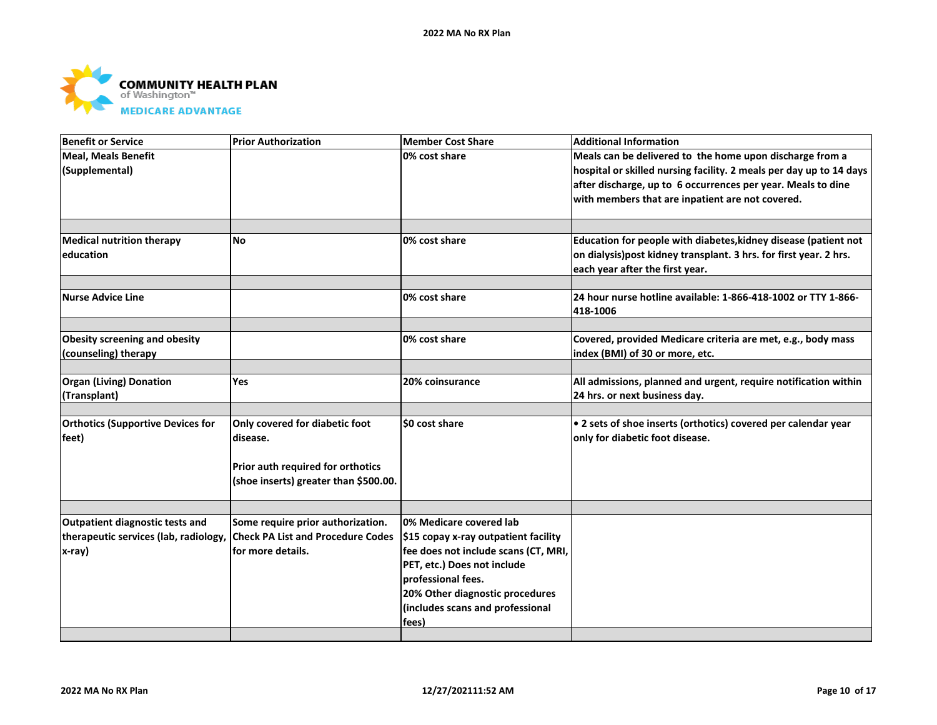

| <b>Benefit or Service</b>                                                          | <b>Prior Authorization</b>                                                                                               | Member Cost Share                                                                                                                                                                                                                            | <b>Additional Information</b>                                                                                                                                                                                                                       |
|------------------------------------------------------------------------------------|--------------------------------------------------------------------------------------------------------------------------|----------------------------------------------------------------------------------------------------------------------------------------------------------------------------------------------------------------------------------------------|-----------------------------------------------------------------------------------------------------------------------------------------------------------------------------------------------------------------------------------------------------|
| Meal. Meals Benefit<br>(Supplemental)                                              |                                                                                                                          | 0% cost share                                                                                                                                                                                                                                | Meals can be delivered to the home upon discharge from a<br>hospital or skilled nursing facility. 2 meals per day up to 14 days<br>after discharge, up to 6 occurrences per year. Meals to dine<br>with members that are inpatient are not covered. |
| <b>Medical nutrition therapy</b><br>education                                      | <b>No</b>                                                                                                                | 0% cost share                                                                                                                                                                                                                                | Education for people with diabetes, kidney disease (patient not<br>on dialysis)post kidney transplant. 3 hrs. for first year. 2 hrs.<br>each year after the first year.                                                                             |
| Nurse Advice Line                                                                  |                                                                                                                          | 0% cost share                                                                                                                                                                                                                                | 24 hour nurse hotline available: 1-866-418-1002 or TTY 1-866-<br>418-1006                                                                                                                                                                           |
| <b>Obesity screening and obesity</b><br>(counseling) therapy                       |                                                                                                                          | 0% cost share                                                                                                                                                                                                                                | Covered, provided Medicare criteria are met, e.g., body mass<br>index (BMI) of 30 or more, etc.                                                                                                                                                     |
| <b>Organ (Living) Donation</b><br>(Transplant)                                     | Yes                                                                                                                      | 20% coinsurance                                                                                                                                                                                                                              | All admissions, planned and urgent, require notification within<br>24 hrs. or next business day.                                                                                                                                                    |
| <b>Orthotics (Supportive Devices for</b><br>feet)                                  | Only covered for diabetic foot<br>disease.<br>Prior auth required for orthotics<br>(shoe inserts) greater than \$500.00. | SO cost share                                                                                                                                                                                                                                | • 2 sets of shoe inserts (orthotics) covered per calendar year<br>only for diabetic foot disease.                                                                                                                                                   |
|                                                                                    |                                                                                                                          |                                                                                                                                                                                                                                              |                                                                                                                                                                                                                                                     |
| Outpatient diagnostic tests and<br>therapeutic services (lab, radiology,<br>x-ray) | Some require prior authorization.<br><b>Check PA List and Procedure Codes</b><br>for more details.                       | 0% Medicare covered lab<br>\$15 copay x-ray outpatient facility<br>fee does not include scans (CT, MRI,<br>PET, etc.) Does not include<br>professional fees.<br>20% Other diagnostic procedures<br>(includes scans and professional<br>fees) |                                                                                                                                                                                                                                                     |
|                                                                                    |                                                                                                                          |                                                                                                                                                                                                                                              |                                                                                                                                                                                                                                                     |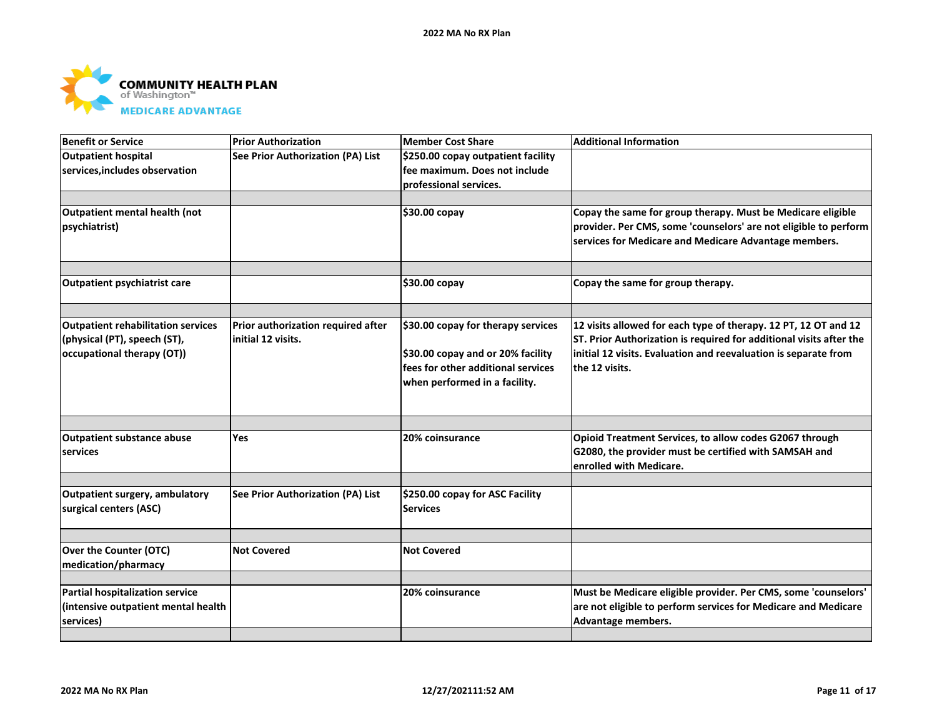

| <b>Benefit or Service</b>                 | <b>Prior Authorization</b>         | <b>Member Cost Share</b>           | <b>Additional Information</b>                                       |
|-------------------------------------------|------------------------------------|------------------------------------|---------------------------------------------------------------------|
| <b>Outpatient hospital</b>                | See Prior Authorization (PA) List  | \$250.00 copay outpatient facility |                                                                     |
| services, includes observation            |                                    | fee maximum. Does not include      |                                                                     |
|                                           |                                    | professional services.             |                                                                     |
| Outpatient mental health (not             |                                    | \$30.00 copay                      | Copay the same for group therapy. Must be Medicare eligible         |
| psychiatrist)                             |                                    |                                    | provider. Per CMS, some 'counselors' are not eligible to perform    |
|                                           |                                    |                                    | services for Medicare and Medicare Advantage members.               |
| <b>Outpatient psychiatrist care</b>       |                                    | \$30.00 copay                      | Copay the same for group therapy.                                   |
|                                           |                                    |                                    |                                                                     |
| <b>Outpatient rehabilitation services</b> | Prior authorization required after | \$30.00 copay for therapy services | 12 visits allowed for each type of therapy. 12 PT, 12 OT and 12     |
| (physical (PT), speech (ST),              | initial 12 visits.                 |                                    | ST. Prior Authorization is required for additional visits after the |
| occupational therapy (OT))                |                                    | \$30.00 copay and or 20% facility  | initial 12 visits. Evaluation and reevaluation is separate from     |
|                                           |                                    | fees for other additional services | the 12 visits.                                                      |
|                                           |                                    | when performed in a facility.      |                                                                     |
|                                           |                                    |                                    |                                                                     |
|                                           |                                    |                                    |                                                                     |
| <b>Outpatient substance abuse</b>         | Yes                                | 20% coinsurance                    | Opioid Treatment Services, to allow codes G2067 through             |
| services                                  |                                    |                                    | G2080, the provider must be certified with SAMSAH and               |
|                                           |                                    |                                    | enrolled with Medicare.                                             |
| Outpatient surgery, ambulatory            | See Prior Authorization (PA) List  | \$250.00 copay for ASC Facility    |                                                                     |
| surgical centers (ASC)                    |                                    | <b>Services</b>                    |                                                                     |
|                                           |                                    |                                    |                                                                     |
| Over the Counter (OTC)                    | <b>Not Covered</b>                 | <b>Not Covered</b>                 |                                                                     |
| medication/pharmacy                       |                                    |                                    |                                                                     |
| <b>Partial hospitalization service</b>    |                                    | 20% coinsurance                    | Must be Medicare eligible provider. Per CMS, some 'counselors'      |
| (intensive outpatient mental health       |                                    |                                    | are not eligible to perform services for Medicare and Medicare      |
| services)                                 |                                    |                                    | Advantage members.                                                  |
|                                           |                                    |                                    |                                                                     |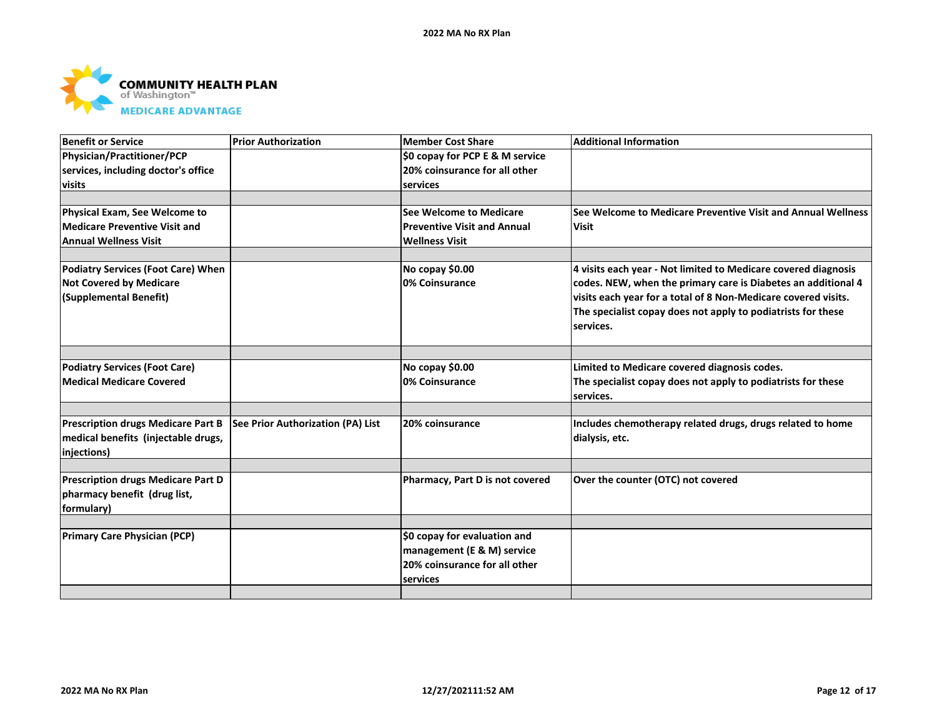

| <b>Benefit or Service</b>                 | <b>Prior Authorization</b>        | <b>Member Cost Share</b>           | <b>Additional Information</b>                                  |
|-------------------------------------------|-----------------------------------|------------------------------------|----------------------------------------------------------------|
| Physician/Practitioner/PCP                |                                   | \$0 copay for PCP E & M service    |                                                                |
| services, including doctor's office       |                                   | 20% coinsurance for all other      |                                                                |
| visits                                    |                                   | services                           |                                                                |
|                                           |                                   |                                    |                                                                |
| Physical Exam, See Welcome to             |                                   | See Welcome to Medicare            | See Welcome to Medicare Preventive Visit and Annual Wellness   |
| <b>Medicare Preventive Visit and</b>      |                                   | <b>Preventive Visit and Annual</b> | <b>Visit</b>                                                   |
| Annual Wellness Visit                     |                                   | <b>Wellness Visit</b>              |                                                                |
|                                           |                                   |                                    |                                                                |
| <b>Podiatry Services (Foot Care) When</b> |                                   | No copay \$0.00                    | 4 visits each year - Not limited to Medicare covered diagnosis |
| <b>Not Covered by Medicare</b>            |                                   | 0% Coinsurance                     | codes. NEW, when the primary care is Diabetes an additional 4  |
| (Supplemental Benefit)                    |                                   |                                    | visits each year for a total of 8 Non-Medicare covered visits. |
|                                           |                                   |                                    | The specialist copay does not apply to podiatrists for these   |
|                                           |                                   |                                    | services.                                                      |
|                                           |                                   |                                    |                                                                |
| <b>Podiatry Services (Foot Care)</b>      |                                   | No copay \$0.00                    | Limited to Medicare covered diagnosis codes.                   |
| Medical Medicare Covered                  |                                   | 0% Coinsurance                     | The specialist copay does not apply to podiatrists for these   |
|                                           |                                   |                                    | services.                                                      |
|                                           |                                   |                                    |                                                                |
| <b>Prescription drugs Medicare Part B</b> | See Prior Authorization (PA) List | 20% coinsurance                    | Includes chemotherapy related drugs, drugs related to home     |
| medical benefits (injectable drugs,       |                                   |                                    | dialysis, etc.                                                 |
| injections)                               |                                   |                                    |                                                                |
|                                           |                                   |                                    |                                                                |
| <b>Prescription drugs Medicare Part D</b> |                                   | Pharmacy, Part D is not covered    | Over the counter (OTC) not covered                             |
| pharmacy benefit (drug list,              |                                   |                                    |                                                                |
| formulary)                                |                                   |                                    |                                                                |
|                                           |                                   |                                    |                                                                |
| <b>Primary Care Physician (PCP)</b>       |                                   | \$0 copay for evaluation and       |                                                                |
|                                           |                                   | management (E & M) service         |                                                                |
|                                           |                                   | 20% coinsurance for all other      |                                                                |
|                                           |                                   | services                           |                                                                |
|                                           |                                   |                                    |                                                                |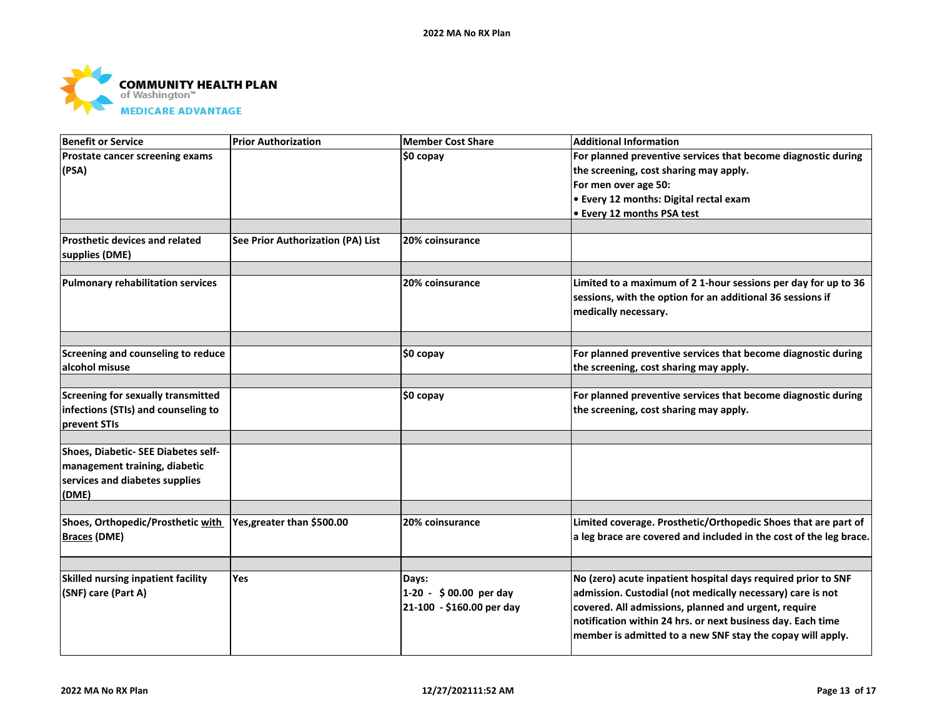

| <b>Benefit or Service</b>                 | <b>Prior Authorization</b>               | <b>Member Cost Share</b>  | <b>Additional Information</b>                                      |
|-------------------------------------------|------------------------------------------|---------------------------|--------------------------------------------------------------------|
| Prostate cancer screening exams           |                                          | \$0 copay                 | For planned preventive services that become diagnostic during      |
| (PSA)                                     |                                          |                           | the screening, cost sharing may apply.                             |
|                                           |                                          |                           | For men over age 50:                                               |
|                                           |                                          |                           | • Every 12 months: Digital rectal exam                             |
|                                           |                                          |                           | • Every 12 months PSA test                                         |
|                                           |                                          |                           |                                                                    |
| <b>Prosthetic devices and related</b>     | <b>See Prior Authorization (PA) List</b> | 20% coinsurance           |                                                                    |
| supplies (DME)                            |                                          |                           |                                                                    |
|                                           |                                          |                           |                                                                    |
| <b>Pulmonary rehabilitation services</b>  |                                          | 20% coinsurance           | Limited to a maximum of 2 1-hour sessions per day for up to 36     |
|                                           |                                          |                           | sessions, with the option for an additional 36 sessions if         |
|                                           |                                          |                           | medically necessary.                                               |
|                                           |                                          |                           |                                                                    |
| Screening and counseling to reduce        |                                          | \$0 copay                 | For planned preventive services that become diagnostic during      |
| alcohol misuse                            |                                          |                           | the screening, cost sharing may apply.                             |
|                                           |                                          |                           |                                                                    |
| <b>Screening for sexually transmitted</b> |                                          | \$0 copay                 | For planned preventive services that become diagnostic during      |
| infections (STIs) and counseling to       |                                          |                           | the screening, cost sharing may apply.                             |
| prevent STIs                              |                                          |                           |                                                                    |
| Shoes, Diabetic- SEE Diabetes self-       |                                          |                           |                                                                    |
| management training, diabetic             |                                          |                           |                                                                    |
| services and diabetes supplies            |                                          |                           |                                                                    |
| (DME)                                     |                                          |                           |                                                                    |
|                                           |                                          |                           |                                                                    |
| Shoes, Orthopedic/Prosthetic with         | Yes, greater than \$500.00               | 20% coinsurance           | Limited coverage. Prosthetic/Orthopedic Shoes that are part of     |
| <b>Braces (DME)</b>                       |                                          |                           | a leg brace are covered and included in the cost of the leg brace. |
|                                           |                                          |                           |                                                                    |
| Skilled nursing inpatient facility        | Yes                                      | Days:                     | No (zero) acute inpatient hospital days required prior to SNF      |
| (SNF) care (Part A)                       |                                          | 1-20 - \$00.00 per day    | admission. Custodial (not medically necessary) care is not         |
|                                           |                                          | 21-100 - \$160.00 per day | covered. All admissions, planned and urgent, require               |
|                                           |                                          |                           | notification within 24 hrs. or next business day. Each time        |
|                                           |                                          |                           | member is admitted to a new SNF stay the copay will apply.         |
|                                           |                                          |                           |                                                                    |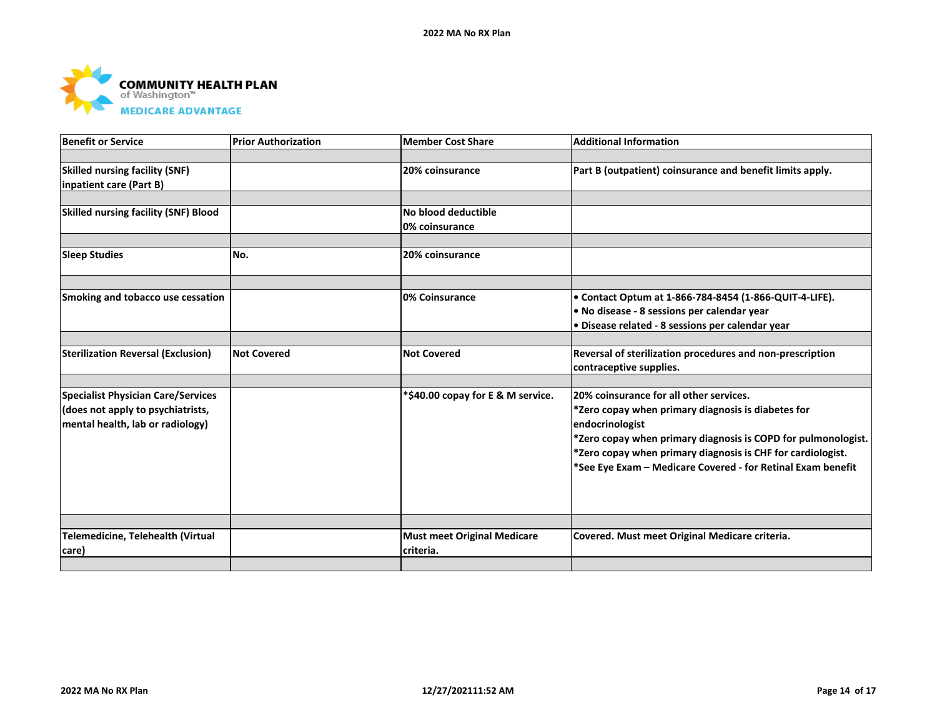

| <b>Benefit or Service</b>                   | <b>Prior Authorization</b> | <b>Member Cost Share</b>           | <b>Additional Information</b>                                 |
|---------------------------------------------|----------------------------|------------------------------------|---------------------------------------------------------------|
|                                             |                            |                                    |                                                               |
| <b>Skilled nursing facility (SNF)</b>       |                            | 20% coinsurance                    | Part B (outpatient) coinsurance and benefit limits apply.     |
| inpatient care (Part B)                     |                            |                                    |                                                               |
|                                             |                            |                                    |                                                               |
| <b>Skilled nursing facility (SNF) Blood</b> |                            | No blood deductible                |                                                               |
|                                             |                            | 0% coinsurance                     |                                                               |
|                                             |                            |                                    |                                                               |
| <b>Sleep Studies</b>                        | No.                        | 20% coinsurance                    |                                                               |
|                                             |                            |                                    |                                                               |
| Smoking and tobacco use cessation           |                            | <b>0% Coinsurance</b>              | • Contact Optum at 1-866-784-8454 (1-866-QUIT-4-LIFE).        |
|                                             |                            |                                    | . No disease - 8 sessions per calendar year                   |
|                                             |                            |                                    | . Disease related - 8 sessions per calendar year              |
|                                             |                            |                                    |                                                               |
| <b>Sterilization Reversal (Exclusion)</b>   | <b>Not Covered</b>         | <b>Not Covered</b>                 | Reversal of sterilization procedures and non-prescription     |
|                                             |                            |                                    | contraceptive supplies.                                       |
|                                             |                            |                                    |                                                               |
| <b>Specialist Physician Care/Services</b>   |                            | *\$40.00 copay for E & M service.  | 20% coinsurance for all other services.                       |
| does not apply to psychiatrists,            |                            |                                    | *Zero copay when primary diagnosis is diabetes for            |
| mental health, lab or radiology)            |                            |                                    | endocrinologist                                               |
|                                             |                            |                                    | *Zero copay when primary diagnosis is COPD for pulmonologist. |
|                                             |                            |                                    | *Zero copay when primary diagnosis is CHF for cardiologist.   |
|                                             |                            |                                    | *See Eye Exam - Medicare Covered - for Retinal Exam benefit   |
|                                             |                            |                                    |                                                               |
|                                             |                            |                                    |                                                               |
|                                             |                            |                                    |                                                               |
|                                             |                            |                                    |                                                               |
| Telemedicine, Telehealth (Virtual           |                            | <b>Must meet Original Medicare</b> | Covered. Must meet Original Medicare criteria.                |
| care)                                       |                            | criteria.                          |                                                               |
|                                             |                            |                                    |                                                               |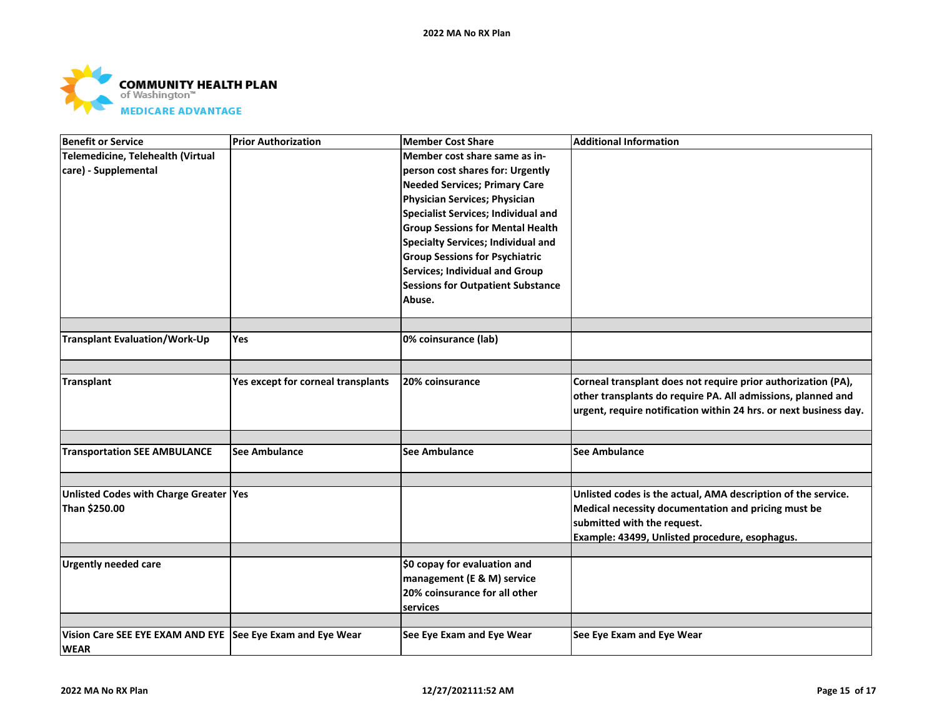

| <b>Benefit or Service</b>                                  | <b>Prior Authorization</b>         | <b>Member Cost Share</b>                   | <b>Additional Information</b>                                     |
|------------------------------------------------------------|------------------------------------|--------------------------------------------|-------------------------------------------------------------------|
| Telemedicine, Telehealth (Virtual                          |                                    | Member cost share same as in-              |                                                                   |
| care) - Supplemental                                       |                                    | person cost shares for: Urgently           |                                                                   |
|                                                            |                                    | <b>Needed Services; Primary Care</b>       |                                                                   |
|                                                            |                                    | Physician Services; Physician              |                                                                   |
|                                                            |                                    | <b>Specialist Services; Individual and</b> |                                                                   |
|                                                            |                                    | <b>Group Sessions for Mental Health</b>    |                                                                   |
|                                                            |                                    | <b>Specialty Services; Individual and</b>  |                                                                   |
|                                                            |                                    | <b>Group Sessions for Psychiatric</b>      |                                                                   |
|                                                            |                                    | <b>Services; Individual and Group</b>      |                                                                   |
|                                                            |                                    | <b>Sessions for Outpatient Substance</b>   |                                                                   |
|                                                            |                                    | Abuse.                                     |                                                                   |
|                                                            |                                    |                                            |                                                                   |
|                                                            |                                    |                                            |                                                                   |
| <b>Transplant Evaluation/Work-Up</b>                       | Yes                                | 0% coinsurance (lab)                       |                                                                   |
|                                                            |                                    |                                            |                                                                   |
| <b>Transplant</b>                                          | Yes except for corneal transplants | 20% coinsurance                            | Corneal transplant does not require prior authorization (PA),     |
|                                                            |                                    |                                            | other transplants do require PA. All admissions, planned and      |
|                                                            |                                    |                                            | urgent, require notification within 24 hrs. or next business day. |
|                                                            |                                    |                                            |                                                                   |
|                                                            |                                    |                                            |                                                                   |
| <b>Transportation SEE AMBULANCE</b>                        | See Ambulance                      | <b>See Ambulance</b>                       | <b>See Ambulance</b>                                              |
|                                                            |                                    |                                            |                                                                   |
| Unlisted Codes with Charge Greater Yes                     |                                    |                                            | Unlisted codes is the actual, AMA description of the service.     |
| Than \$250.00                                              |                                    |                                            | Medical necessity documentation and pricing must be               |
|                                                            |                                    |                                            | submitted with the request.                                       |
|                                                            |                                    |                                            | Example: 43499, Unlisted procedure, esophagus.                    |
|                                                            |                                    |                                            |                                                                   |
| <b>Urgently needed care</b>                                |                                    | \$0 copay for evaluation and               |                                                                   |
|                                                            |                                    | management (E & M) service                 |                                                                   |
|                                                            |                                    | 20% coinsurance for all other              |                                                                   |
|                                                            |                                    | services                                   |                                                                   |
|                                                            |                                    |                                            |                                                                   |
| Vision Care SEE EYE EXAM AND EYE See Eye Exam and Eye Wear |                                    | See Eye Exam and Eye Wear                  | See Eye Exam and Eye Wear                                         |
| <b>WEAR</b>                                                |                                    |                                            |                                                                   |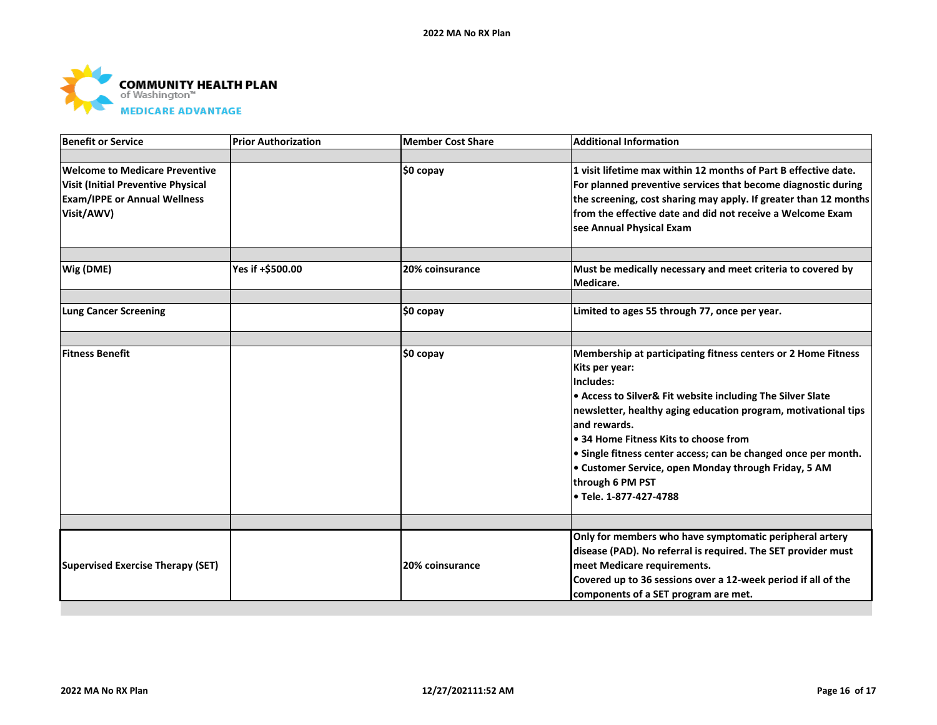

| <b>Benefit or Service</b>                                                                                                               | <b>Prior Authorization</b> | Member Cost Share | <b>Additional Information</b>                                                                                                                                                                                                                                                                                                                                                                                                                                   |
|-----------------------------------------------------------------------------------------------------------------------------------------|----------------------------|-------------------|-----------------------------------------------------------------------------------------------------------------------------------------------------------------------------------------------------------------------------------------------------------------------------------------------------------------------------------------------------------------------------------------------------------------------------------------------------------------|
|                                                                                                                                         |                            |                   |                                                                                                                                                                                                                                                                                                                                                                                                                                                                 |
| <b>Welcome to Medicare Preventive</b><br><b>Visit (Initial Preventive Physical</b><br><b>Exam/IPPE or Annual Wellness</b><br>Visit/AWV) |                            | $$0$ copay        | 1 visit lifetime max within 12 months of Part B effective date.<br>For planned preventive services that become diagnostic during<br>the screening, cost sharing may apply. If greater than 12 months<br>from the effective date and did not receive a Welcome Exam<br>see Annual Physical Exam                                                                                                                                                                  |
| Wig (DME)                                                                                                                               | Yes if +\$500.00           | 20% coinsurance   | Must be medically necessary and meet criteria to covered by<br>Medicare.                                                                                                                                                                                                                                                                                                                                                                                        |
| <b>Lung Cancer Screening</b>                                                                                                            |                            | \$0 copay         | Limited to ages 55 through 77, once per year.                                                                                                                                                                                                                                                                                                                                                                                                                   |
|                                                                                                                                         |                            |                   |                                                                                                                                                                                                                                                                                                                                                                                                                                                                 |
| <b>Fitness Benefit</b>                                                                                                                  |                            | \$0 copay         | Membership at participating fitness centers or 2 Home Fitness<br>Kits per year:<br>Includes:<br>• Access to Silver& Fit website including The Silver Slate<br>newsletter, healthy aging education program, motivational tips<br>land rewards.<br>● 34 Home Fitness Kits to choose from<br>• Single fitness center access; can be changed once per month.<br>• Customer Service, open Monday through Friday, 5 AM<br>through 6 PM PST<br>l● Tele. 1-877-427-4788 |
|                                                                                                                                         |                            |                   |                                                                                                                                                                                                                                                                                                                                                                                                                                                                 |
| <b>Supervised Exercise Therapy (SET)</b>                                                                                                |                            | 20% coinsurance   | Only for members who have symptomatic peripheral artery<br>disease (PAD). No referral is required. The SET provider must<br>meet Medicare requirements.<br>Covered up to 36 sessions over a 12-week period if all of the<br>components of a SET program are met.                                                                                                                                                                                                |